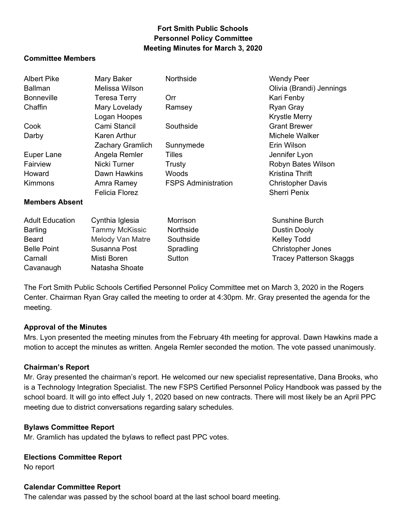# **Fort Smith Public Schools Personnel Policy Committee Meeting Minutes for March 3, 2020**

#### **Committee Members**

| <b>Albert Pike</b>     | Mary Baker            | Northside                  | <b>Wendy Peer</b>              |
|------------------------|-----------------------|----------------------------|--------------------------------|
| <b>Ballman</b>         | Melissa Wilson        |                            | Olivia (Brandi) Jennings       |
| <b>Bonneville</b>      | <b>Teresa Terry</b>   | <b>Orr</b>                 | Kari Fenby                     |
| Chaffin                | Mary Lovelady         | Ramsey                     | Ryan Gray                      |
|                        | Logan Hoopes          |                            | <b>Krystle Merry</b>           |
| Cook                   | Cami Stancil          | Southside                  | <b>Grant Brewer</b>            |
| Darby                  | Karen Arthur          |                            | Michele Walker                 |
|                        | Zachary Gramlich      | Sunnymede                  | Erin Wilson                    |
| Euper Lane             | Angela Remler         | <b>Tilles</b>              | Jennifer Lyon                  |
| Fairview               | Nicki Turner          | Trusty                     | Robyn Bates Wilson             |
| Howard                 | Dawn Hawkins          | Woods                      | Kristina Thrift                |
| <b>Kimmons</b>         | Amra Ramey            | <b>FSPS Administration</b> | <b>Christopher Davis</b>       |
|                        | <b>Felicia Florez</b> |                            | <b>Sherri Penix</b>            |
| <b>Members Absent</b>  |                       |                            |                                |
| <b>Adult Education</b> | Cynthia Iglesia       | Morrison                   | Sunshine Burch                 |
| <b>Barling</b>         | <b>Tammy McKissic</b> | Northside                  | Dustin Dooly                   |
| <b>Beard</b>           | Melody Van Matre      | Southside                  | <b>Kelley Todd</b>             |
| <b>Belle Point</b>     | Susanna Post          | Spradling                  | <b>Christopher Jones</b>       |
| Carnall                | Misti Boren           | Sutton                     | <b>Tracey Patterson Skaggs</b> |
| Cavanaugh              | Natasha Shoate        |                            |                                |

 The Fort Smith Public Schools Certified Personnel Policy Committee met on March 3, 2020 in the Rogers Center. Chairman Ryan Gray called the meeting to order at 4:30pm. Mr. Gray presented the agenda for the meeting.

### **Approval of the Minutes**

 Mrs. Lyon presented the meeting minutes from the February 4th meeting for approval. Dawn Hawkins made a motion to accept the minutes as written. Angela Remler seconded the motion. The vote passed unanimously.

### **Chairman's Report**

 Mr. Gray presented the chairman's report. He welcomed our new specialist representative, Dana Brooks, who is a Technology Integration Specialist. The new FSPS Certified Personnel Policy Handbook was passed by the school board. It will go into effect July 1, 2020 based on new contracts. There will most likely be an April PPC meeting due to district conversations regarding salary schedules.

### **Bylaws Committee Report**

Mr. Gramlich has updated the bylaws to reflect past PPC votes.

#### **Elections Committee Report**

No report

#### **Calendar Committee Report**

The calendar was passed by the school board at the last school board meeting.